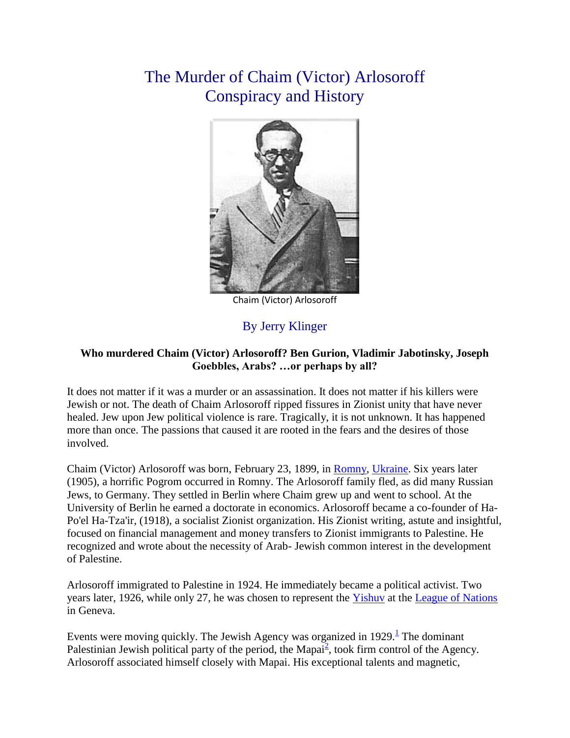# The Murder of Chaim (Victor) Arlosoroff Conspiracy and History



Chaim (Victor) Arlosoroff

## By Jerry Klinger

### **Who murdered Chaim (Victor) Arlosoroff? Ben Gurion, Vladimir Jabotinsky, Joseph Goebbles, Arabs? …or perhaps by all?**

It does not matter if it was a murder or an assassination. It does not matter if his killers were Jewish or not. The death of Chaim Arlosoroff ripped fissures in Zionist unity that have never healed. Jew upon Jew political violence is rare. Tragically, it is not unknown. It has happened more than once. The passions that caused it are rooted in the fears and the desires of those involved.

Chaim (Victor) Arlosoroff was born, February 23, 1899, in [Romny,](http://en.wikipedia.org/wiki/Romny%20/%20Romn) [Ukraine.](http://en.wikipedia.org/wiki/Ukraine%20/%20Ukrain) Six years later (1905), a horrific Pogrom occurred in Romny. The Arlosoroff family fled, as did many Russian Jews, to Germany. They settled in Berlin where Chaim grew up and went to school. At the University of Berlin he earned a doctorate in economics. Arlosoroff became a co-founder of Ha-Po'el Ha-Tza'ir, (1918), a socialist Zionist organization. His Zionist writing, astute and insightful, focused on financial management and money transfers to Zionist immigrants to Palestine. He recognized and wrote about the necessity of Arab- Jewish common interest in the development of Palestine.

Arlosoroff immigrated to Palestine in 1924. He immediately became a political activist. Two years later, 1926, while only 27, he was chosen to represent the [Yishuv](http://en.wikipedia.org/wiki/Yishuv%20/%20Yishu) at the [League of Nations](http://en.wikipedia.org/wiki/League_of_Nations%20/%20League%20of%20Nation) in Geneva.

Events were moving quickly[.](http://www.jewishmag.com/149mag/arlosoroff/arlosoroff.htm#FOOTNOTE) The Jewish Agency was organized in  $1929<sup>1</sup>$  The dominant Palestinian Jewish political party of the period, the Mapai $\frac{2}{3}$  $\frac{2}{3}$  $\frac{2}{3}$ , took firm control of the Agency. Arlosoroff associated himself closely with Mapai. His exceptional talents and magnetic,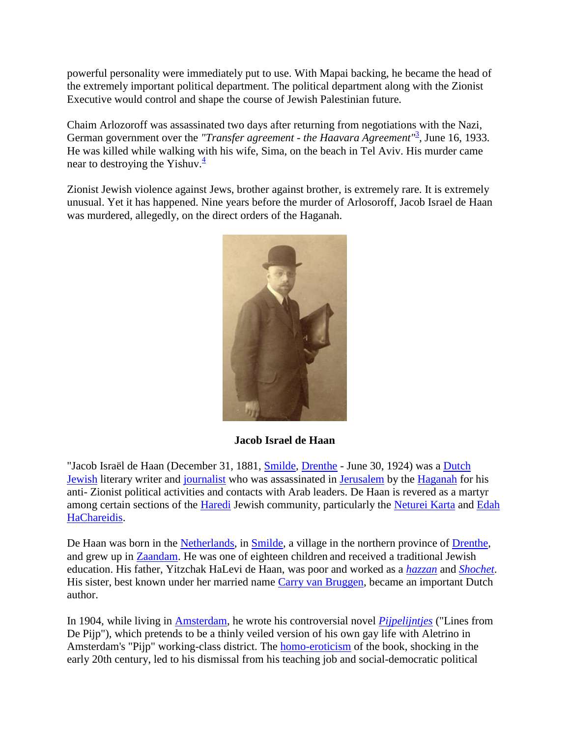powerful personality were immediately put to use. With Mapai backing, he became the head of the extremely important political department. The political department along with the Zionist Executive would control and shape the course of Jewish Palestinian future.

Chaim Arlozoroff was assassinated two days after returning from negotiations with the Nazi, German government over the *"Transfer agreement - the Haavara Agreement"*<sup>3</sup>[,](http://www.jewishmag.com/149mag/arlosoroff/arlosoroff.htm#FOOTNOTE) June 16, 1933. He was killed while walking with his wife, Sima, on the beach in Tel Aviv. His murder came near to destroying the Yishuv. $\frac{4}{1}$  $\frac{4}{1}$  $\frac{4}{1}$ 

Zionist Jewish violence against Jews, brother against brother, is extremely rare. It is extremely unusual. Yet it has happened. Nine years before the murder of Arlosoroff, Jacob Israel de Haan was murdered, allegedly, on the direct orders of the Haganah.



**Jacob Israel de Haan**

"Jacob Israël de Haan (December 31, 1881, [Smilde,](http://en.wikipedia.org/wiki/Smilde%20/%20Smild) [Drenthe](http://en.wikipedia.org/wiki/Drenthe%20/%20Drenth) - June 30, 1924) was a [Dutch](http://en.wikipedia.org/wiki/Netherlands%20/%20Netherland) [Jewish](http://en.wikipedia.org/wiki/Jew%20/%20Je) literary writer and [journalist](http://en.wikipedia.org/wiki/Journalism%20/%20Journalis) who was assassinated in [Jerusalem](http://en.wikipedia.org/wiki/Jerusalem%20/%20Jerusale) by the [Haganah](http://en.wikipedia.org/wiki/Haganah%20/%20Hagana) for his anti- Zionist political activities and contacts with Arab leaders. De Haan is revered as a martyr among certain sections of the [Haredi](http://en.wikipedia.org/wiki/Haredi%20/%20Hared) Jewish community, particularly the [Neturei Karta](http://en.wikipedia.org/wiki/Neturei_Karta%20/%20Neturei%20Kart) and Edah [HaChareidis.](http://en.wikipedia.org/wiki/Edah_HaChareidis%20/%20Edah%20HaChareidi)

De Haan was born in the [Netherlands,](http://en.wikipedia.org/wiki/Netherlands%20/%20Netherland) in [Smilde,](http://en.wikipedia.org/wiki/Smilde%20/%20Smild) a village in the northern province of [Drenthe,](http://en.wikipedia.org/wiki/Drenthe%20/%20Drenth) and grew up in [Zaandam.](http://en.wikipedia.org/wiki/Zaandam%20/%20Zaanda) He was one of eighteen children and received a traditional Jewish education. His father, Yitzchak HaLevi de Haan, was poor and worked as a *[hazzan](http://en.wikipedia.org/wiki/Hazzan%20/%20Hazza)* and *[Shochet](http://en.wikipedia.org/wiki/Shechita%20/%20Shechit)*. His sister, best known under her married name [Carry van Bruggen,](http://en.wikipedia.org/w/index.php?title=Carry_van_Bruggen&action=edit&redlink=1%20//%20Carry%20van%20Bruggen%20(page%20does%20not%20exist) became an important Dutch author.

In 1904, while living in [Amsterdam,](http://en.wikipedia.org/wiki/Amsterdam%20/%20Amsterda) he wrote his controversial novel *[Pijpelijntjes](http://en.wikipedia.org/w/index.php?title=Pijpelijntjes&action=edit&redlink=1%20//%20Pijpelijntjes%20(page%20does%20not%20exist)* ("Lines from De Pijp"), which pretends to be a thinly veiled version of his own gay life with Aletrino in Amsterdam's "Pijp" working-class district. The [homo-eroticism](http://en.wikipedia.org/wiki/Homosexuality%20/%20Homosexualit) of the book, shocking in the early 20th century, led to his dismissal from his teaching job and social-democratic political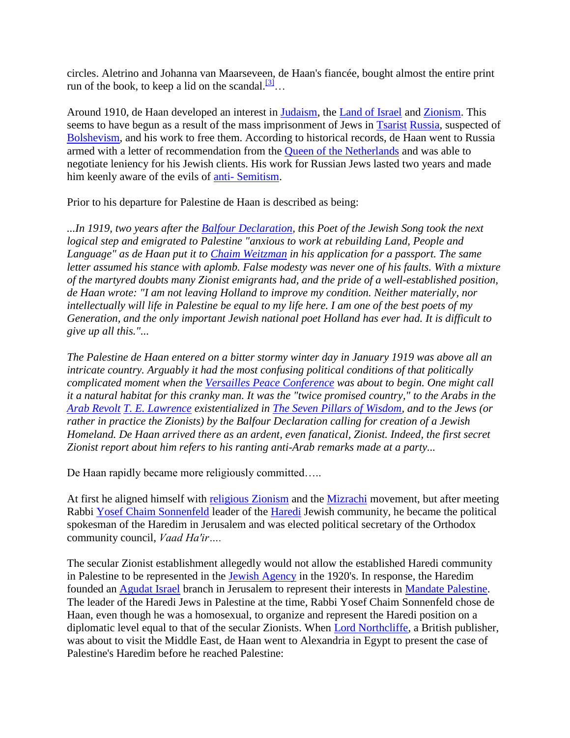circles. Aletrino and Johanna van Maarseveen, de Haan's fiancée, bought almost the entire print run of the book, to keep a lid on the scandal. $\frac{3!}{2!}$ …

Around 1910, de Haan developed an interest in **Judaism**, the [Land of Israel](http://en.wikipedia.org/wiki/Land_of_Israel%20/%20Land%20of%20Israe) and [Zionism.](http://en.wikipedia.org/wiki/Zionism%20/%20Zionis) This seems to have begun as a result of the mass imprisonment of Jews in [Tsarist](http://en.wikipedia.org/wiki/Tsar%20/%20Tsa) [Russia,](http://en.wikipedia.org/wiki/Russia%20/%20Russi) suspected of [Bolshevism,](http://en.wikipedia.org/wiki/Bolshevik%20/%20Bolshevi) and his work to free them. According to historical records, de Haan went to Russia armed with a letter of recommendation from the [Queen of the Netherlands](http://en.wikipedia.org/wiki/Wilhelmina_of_the_Netherlands%20/%20Wilhelmina%20of%20the%20Netherland) and was able to negotiate leniency for his Jewish clients. His work for Russian Jews lasted two years and made him keenly aware of the evils of anti- [Semitism.](http://en.wikipedia.org/wiki/Anti-Semitism%20/%20Anti-Semitis)

Prior to his departure for Palestine de Haan is described as being:

*...In 1919, two years after the [Balfour Declaration,](http://en.wikipedia.org/wiki/Balfour_Declaration_of_1917%20/%20Balfour%20Declaration%20of%20191) this Poet of the Jewish Song took the next logical step and emigrated to Palestine "anxious to work at rebuilding Land, People and Language" as de Haan put it to [Chaim Weitzman](http://en.wikipedia.org/wiki/Chaim_Weizmann%20/%20Chaim%20Weizman) in his application for a passport. The same letter assumed his stance with aplomb. False modesty was never one of his faults. With a mixture of the martyred doubts many Zionist emigrants had, and the pride of a well-established position, de Haan wrote: "I am not leaving Holland to improve my condition. Neither materially, nor intellectually will life in Palestine be equal to my life here. I am one of the best poets of my Generation, and the only important Jewish national poet Holland has ever had. It is difficult to give up all this."...*

*The Palestine de Haan entered on a bitter stormy winter day in January 1919 was above all an intricate country. Arguably it had the most confusing political conditions of that politically complicated moment when the [Versailles Peace Conference](http://en.wikipedia.org/wiki/Versailles_Peace_Conference%20/%20Versailles%20Peace%20Conferenc) was about to begin. One might call it a natural habitat for this cranky man. It was the "twice promised country," to the Arabs in the [Arab Revolt](http://en.wikipedia.org/wiki/Arab_Revolt%20/%20Arab%20Revol) [T. E. Lawrence](http://en.wikipedia.org/wiki/T._E._Lawrence%20/%20T.%20E.%20Lawrenc) existentialized in [The Seven Pillars of Wisdom,](http://en.wikipedia.org/wiki/The_Seven_Pillars_of_Wisdom%20/%20The%20Seven%20Pillars%20of%20Wisdo) and to the Jews (or rather in practice the Zionists) by the Balfour Declaration calling for creation of a Jewish Homeland. De Haan arrived there as an ardent, even fanatical, Zionist. Indeed, the first secret Zionist report about him refers to his ranting anti-Arab remarks made at a party...*

De Haan rapidly became more religiously committed…..

At first he aligned himself with [religious Zionism](http://en.wikipedia.org/wiki/Religious_Zionism%20/%20Religious%20Zionis) and the [Mizrachi](http://en.wikipedia.org/wiki/Mizrachi%20/%20Mizrach) movement, but after meeting Rabbi [Yosef Chaim Sonnenfeld](http://en.wikipedia.org/wiki/Yosef_Chaim_Sonnenfeld%20/%20Yosef%20Chaim%20Sonnenfel) leader of the [Haredi](http://en.wikipedia.org/wiki/Haredi_Judaism%20/%20Haredi%20Judais) Jewish community, he became the political spokesman of the Haredim in Jerusalem and was elected political secretary of the Orthodox community council, *Vaad Ha'ir….*

The secular Zionist establishment allegedly would not allow the established Haredi community in Palestine to be represented in the [Jewish Agency](http://en.wikipedia.org/wiki/Jewish_Agency_for_Israel%20/%20Jewish%20Agency%20for%20Israe) in the 1920's. In response, the Haredim founded an [Agudat Israel](http://en.wikipedia.org/wiki/Agudat_Israel%20/%20Agudat%20Israe) branch in Jerusalem to represent their interests in [Mandate Palestine.](http://en.wikipedia.org/wiki/Mandate_Palestine%20/%20Mandate%20Palestin) The leader of the Haredi Jews in Palestine at the time, Rabbi Yosef Chaim Sonnenfeld chose de Haan, even though he was a homosexual, to organize and represent the Haredi position on a diplomatic level equal to that of the secular Zionists. When [Lord Northcliffe,](http://en.wikipedia.org/wiki/Alfred_Harmsworth,_1st_Viscount_Northcliffe%20/%20Alfred%20Harmsworth,%201st%20Viscount%20Northcliff) a British publisher, was about to visit the Middle East, de Haan went to Alexandria in Egypt to present the case of Palestine's Haredim before he reached Palestine: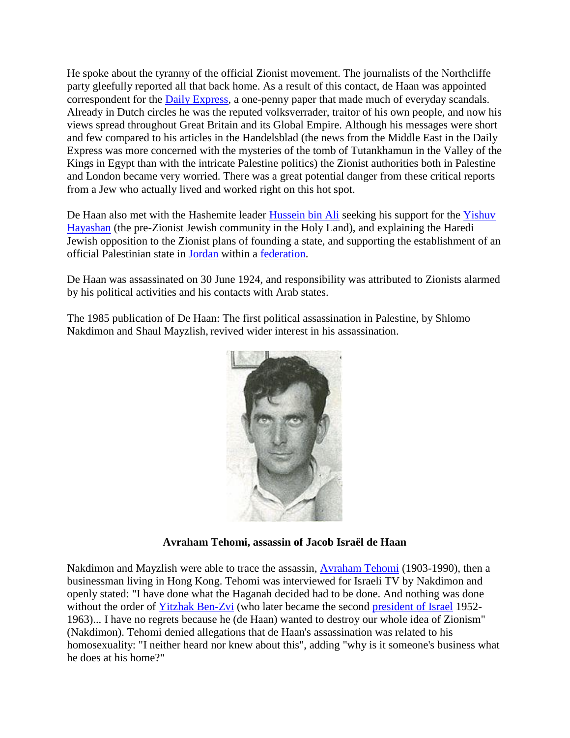He spoke about the tyranny of the official Zionist movement. The journalists of the Northcliffe party gleefully reported all that back home. As a result of this contact, de Haan was appointed correspondent for the [Daily Express,](http://en.wikipedia.org/wiki/Daily_Express%20/%20Daily%20Expres) a one-penny paper that made much of everyday scandals. Already in Dutch circles he was the reputed volksverrader, traitor of his own people, and now his views spread throughout Great Britain and its Global Empire. Although his messages were short and few compared to his articles in the Handelsblad (the news from the Middle East in the Daily Express was more concerned with the mysteries of the tomb of Tutankhamun in the Valley of the Kings in Egypt than with the intricate Palestine politics) the Zionist authorities both in Palestine and London became very worried. There was a great potential danger from these critical reports from a Jew who actually lived and worked right on this hot spot.

De Haan also met with the Hashemite leader [Hussein bin Ali](http://en.wikipedia.org/wiki/Hussein_bin_Ali,_Sharif_of_Mecca%20/%20Hussein%20bin%20Ali,%20Sharif%20of%20Mecc) seeking his support for the Yishuv [Hayashan](http://en.wikipedia.org/wiki/Yishuv_Hayashan%20/%20Yishuv%20Hayasha) (the pre-Zionist Jewish community in the Holy Land), and explaining the Haredi Jewish opposition to the Zionist plans of founding a state, and supporting the establishment of an official Palestinian state in [Jordan](http://en.wikipedia.org/wiki/Jordan%20/%20Jorda) within a [federation.](http://en.wikipedia.org/wiki/Federation%20/%20Federatio)

De Haan was assassinated on 30 June 1924, and responsibility was attributed to Zionists alarmed by his political activities and his contacts with Arab states.

The 1985 publication of De Haan: The first political assassination in Palestine, by Shlomo Nakdimon and Shaul Mayzlish, revived wider interest in his assassination.



**Avraham Tehomi, assassin of Jacob Israël de Haan**

Nakdimon and Mayzlish were able to trace the assassin, **Avraham Tehomi** (1903-1990), then a businessman living in Hong Kong. Tehomi was interviewed for Israeli TV by Nakdimon and openly stated: "I have done what the Haganah decided had to be done. And nothing was done without the order of [Yitzhak Ben-Zvi](http://en.wikipedia.org/wiki/Yitzhak_Ben-Zvi%20/%20Yitzhak%20Ben-Zv) (who later became the second [president of Israel](http://en.wikipedia.org/wiki/President_of_Israel%20/%20President%20of%20Israe) 1952-1963)... I have no regrets because he (de Haan) wanted to destroy our whole idea of Zionism" (Nakdimon). Tehomi denied allegations that de Haan's assassination was related to his homosexuality: "I neither heard nor knew about this", adding "why is it someone's business what he does at his home?"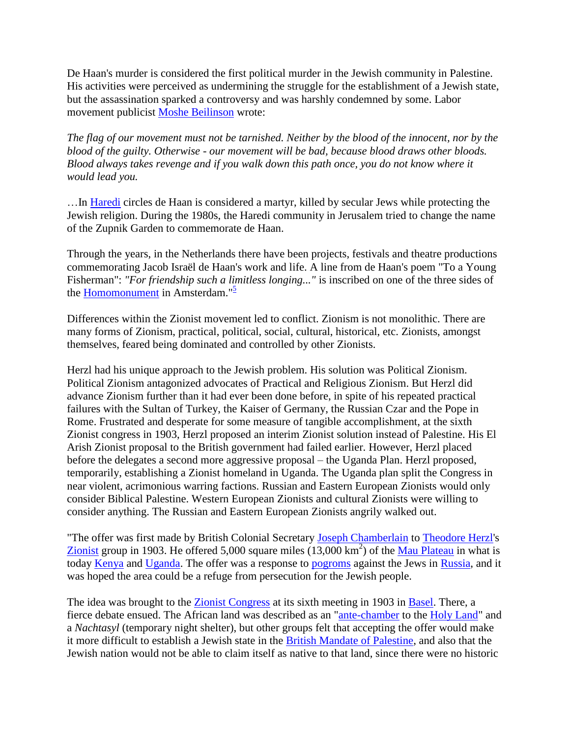De Haan's murder is considered the first political murder in the Jewish community in Palestine. His activities were perceived as undermining the struggle for the establishment of a Jewish state, but the assassination sparked a controversy and was harshly condemned by some. Labor movement publicist [Moshe Beilinson](http://en.wikipedia.org/w/index.php?title=Moshe_Beilinson&action=edit&redlink=1%20//%20Moshe%20Beilinson%20(page%20does%20not%20exist) wrote:

*The flag of our movement must not be tarnished. Neither by the blood of the innocent, nor by the blood of the guilty. Otherwise - our movement will be bad, because blood draws other bloods. Blood always takes revenge and if you walk down this path once, you do not know where it would lead you.*

...In [Haredi](http://en.wikipedia.org/wiki/Haredi%20/%20Hared) circles de Haan is considered a martyr, killed by secular Jews while protecting the Jewish religion. During the 1980s, the Haredi community in Jerusalem tried to change the name of the Zupnik Garden to commemorate de Haan.

Through the years, in the Netherlands there have been projects, festivals and theatre productions commemorating Jacob Israël de Haan's work and life. A line from de Haan's poem "To a Young Fisherman": *"For friendship such a limitless longing..."* is inscribed on one of the three sides of the [Homomonument](http://en.wikipedia.org/wiki/Homomonument%20/%20Homomonumen) in Amsterdam."<sup>[5](http://www.jewishmag.com/149mag/arlosoroff/arlosoroff.htm#FOOTNOTE)</sup>

Differences within the Zionist movement led to conflict. Zionism is not monolithic. There are many forms of Zionism, practical, political, social, cultural, historical, etc. Zionists, amongst themselves, feared being dominated and controlled by other Zionists.

Herzl had his unique approach to the Jewish problem. His solution was Political Zionism. Political Zionism antagonized advocates of Practical and Religious Zionism. But Herzl did advance Zionism further than it had ever been done before, in spite of his repeated practical failures with the Sultan of Turkey, the Kaiser of Germany, the Russian Czar and the Pope in Rome. Frustrated and desperate for some measure of tangible accomplishment, at the sixth Zionist congress in 1903, Herzl proposed an interim Zionist solution instead of Palestine. His El Arish Zionist proposal to the British government had failed earlier. However, Herzl placed before the delegates a second more aggressive proposal – the Uganda Plan. Herzl proposed, temporarily, establishing a Zionist homeland in Uganda. The Uganda plan split the Congress in near violent, acrimonious warring factions. Russian and Eastern European Zionists would only consider Biblical Palestine. Western European Zionists and cultural Zionists were willing to consider anything. The Russian and Eastern European Zionists angrily walked out.

"The offer was first made by British Colonial Secretary [Joseph Chamberlain](http://en.wikipedia.org/wiki/Joseph_Chamberlain%20/%20Joseph%20Chamberlai) to [Theodore Herzl's](http://en.wikipedia.org/wiki/Theodore_Herzl%20/%20Theodore%20Herz) [Zionist](http://en.wikipedia.org/wiki/Zionist%20/%20Zionis) group in 1903. He offered 5,000 square miles  $(13,000 \text{ km}^2)$  of the [Mau Plateau](http://en.wikipedia.org/w/index.php?title=Mau_Plateau&action=edit&redlink=1%20//%20Mau%20Plateau%20(page%20does%20not%20exist) in what is today [Kenya](http://en.wikipedia.org/wiki/Kenya%20/%20Keny) and [Uganda.](http://en.wikipedia.org/wiki/Uganda%20/%20Ugand) The offer was a response to [pogroms](http://en.wikipedia.org/wiki/Pogrom%20/%20Pogro) against the Jews in [Russia,](http://en.wikipedia.org/wiki/Russia%20/%20Russi) and it was hoped the area could be a refuge from persecution for the Jewish people.

The idea was brought to the [Zionist Congress](http://en.wikipedia.org/wiki/World_Zionist_Organization%20/%20World%20Zionist%20Organizatio) at its sixth meeting in 1903 in [Basel.](http://en.wikipedia.org/wiki/Basel%20/%20Base) There, a fierce debate ensued. The African land was described as an ["ante-chamber](http://en.wikipedia.org/wiki/Antechamber%20/%20Antechambe) to the [Holy Land"](http://en.wikipedia.org/wiki/Holy_Land%20/%20Holy%20Lan) and a *Nachtasyl* (temporary night shelter), but other groups felt that accepting the offer would make it more difficult to establish a Jewish state in the [British Mandate of Palestine,](http://en.wikipedia.org/wiki/Mandate_Palestine%20/%20Mandate%20Palestin) and also that the Jewish nation would not be able to claim itself as native to that land, since there were no historic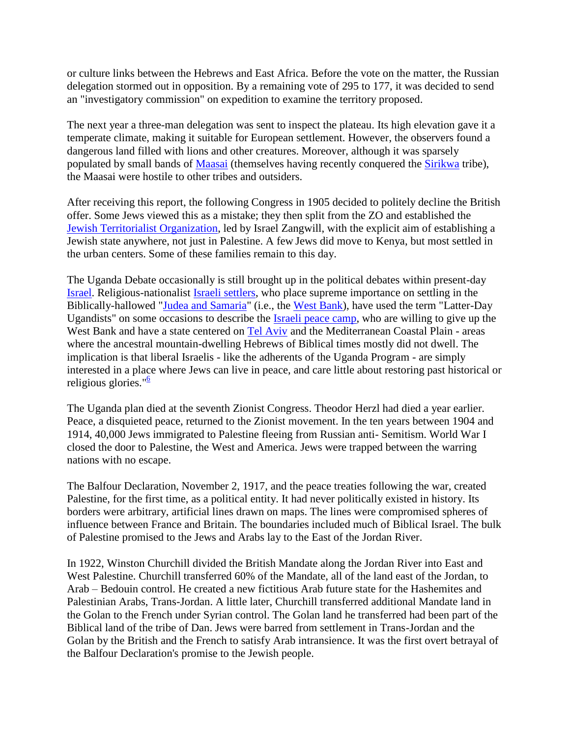or culture links between the Hebrews and East Africa. Before the vote on the matter, the Russian delegation stormed out in opposition. By a remaining vote of 295 to 177, it was decided to send an "investigatory commission" on expedition to examine the territory proposed.

The next year a three-man delegation was sent to inspect the plateau. Its high elevation gave it a temperate climate, making it suitable for European settlement. However, the observers found a dangerous land filled with lions and other creatures. Moreover, although it was sparsely populated by small bands of [Maasai](http://en.wikipedia.org/wiki/Maasai%20/%20Maasa) (themselves having recently conquered the [Sirikwa](http://en.wikipedia.org/wiki/Sirikwa%20/%20Sirikw) tribe), the Maasai were hostile to other tribes and outsiders.

After receiving this report, the following Congress in 1905 decided to politely decline the British offer. Some Jews viewed this as a mistake; they then split from the ZO and established the [Jewish Territorialist Organization,](http://en.wikipedia.org/wiki/Jewish_Territorialist_Organization%20/%20Jewish%20Territorialist%20Organizatio) led by Israel Zangwill, with the explicit aim of establishing a Jewish state anywhere, not just in Palestine. A few Jews did move to Kenya, but most settled in the urban centers. Some of these families remain to this day.

The Uganda Debate occasionally is still brought up in the political debates within present-day [Israel.](http://en.wikipedia.org/wiki/Israel%20/%20Israe) Religious-nationalist [Israeli settlers,](http://en.wikipedia.org/wiki/Israeli_settlers%20/%20Israeli%20settler) who place supreme importance on settling in the Biblically-hallowed ["Judea and Samaria"](http://en.wikipedia.org/wiki/Judea_and_Samaria%20/%20Judea%20and%20Samari) (i.e., the [West Bank\)](http://en.wikipedia.org/wiki/West_Bank%20/%20West%20Ban), have used the term "Latter-Day" Ugandists" on some occasions to describe the [Israeli peace camp,](http://en.wikipedia.org/wiki/Israeli_peace_camp%20/%20Israeli%20peace%20cam) who are willing to give up the West Bank and have a state centered on [Tel Aviv](http://en.wikipedia.org/wiki/Tel_Aviv%20/%20Tel%20Avi) and the Mediterranean Coastal Plain - areas where the ancestral mountain-dwelling Hebrews of Biblical times mostly did not dwell. The implication is that liberal Israelis - like the adherents of the Uganda Program - are simply interested in a place where Jews can live in peace, and care little about restoring past historical or religious glories.["](http://www.jewishmag.com/149mag/arlosoroff/arlosoroff.htm#FOOTNOTE) $6$ 

The Uganda plan died at the seventh Zionist Congress. Theodor Herzl had died a year earlier. Peace, a disquieted peace, returned to the Zionist movement. In the ten years between 1904 and 1914, 40,000 Jews immigrated to Palestine fleeing from Russian anti- Semitism. World War I closed the door to Palestine, the West and America. Jews were trapped between the warring nations with no escape.

The Balfour Declaration, November 2, 1917, and the peace treaties following the war, created Palestine, for the first time, as a political entity. It had never politically existed in history. Its borders were arbitrary, artificial lines drawn on maps. The lines were compromised spheres of influence between France and Britain. The boundaries included much of Biblical Israel. The bulk of Palestine promised to the Jews and Arabs lay to the East of the Jordan River.

In 1922, Winston Churchill divided the British Mandate along the Jordan River into East and West Palestine. Churchill transferred 60% of the Mandate, all of the land east of the Jordan, to Arab – Bedouin control. He created a new fictitious Arab future state for the Hashemites and Palestinian Arabs, Trans-Jordan. A little later, Churchill transferred additional Mandate land in the Golan to the French under Syrian control. The Golan land he transferred had been part of the Biblical land of the tribe of Dan. Jews were barred from settlement in Trans-Jordan and the Golan by the British and the French to satisfy Arab intransience. It was the first overt betrayal of the Balfour Declaration's promise to the Jewish people.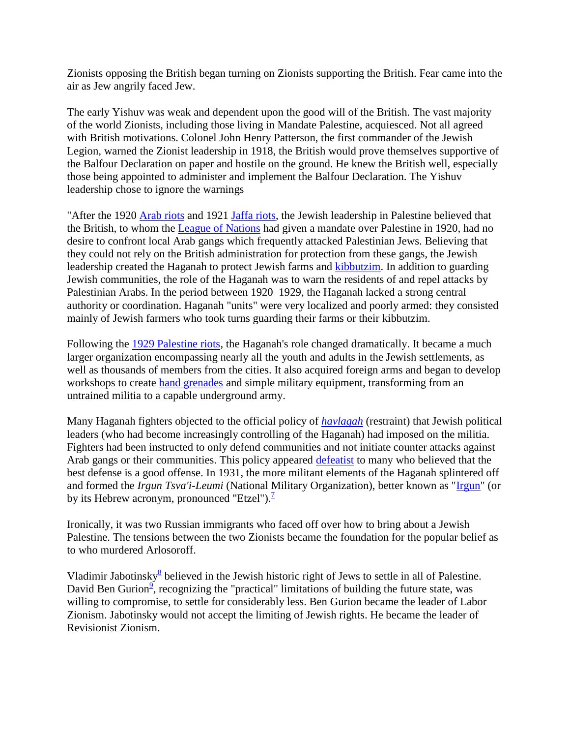Zionists opposing the British began turning on Zionists supporting the British. Fear came into the air as Jew angrily faced Jew.

The early Yishuv was weak and dependent upon the good will of the British. The vast majority of the world Zionists, including those living in Mandate Palestine, acquiesced. Not all agreed with British motivations. Colonel John Henry Patterson, the first commander of the Jewish Legion, warned the Zionist leadership in 1918, the British would prove themselves supportive of the Balfour Declaration on paper and hostile on the ground. He knew the British well, especially those being appointed to administer and implement the Balfour Declaration. The Yishuv leadership chose to ignore the warnings

"After the 1920 [Arab riots](http://en.wikipedia.org/wiki/1920_Palestine_riots%20/%201920%20Palestine%20riot) and 1921 [Jaffa riots,](http://en.wikipedia.org/wiki/Jaffa_riots%20/%20Jaffa%20riot) the Jewish leadership in Palestine believed that the British, to whom the [League of Nations](http://en.wikipedia.org/wiki/League_of_Nations%20/%20League%20of%20Nation) had given a mandate over Palestine in 1920, had no desire to confront local Arab gangs which frequently attacked Palestinian Jews. Believing that they could not rely on the British administration for protection from these gangs, the Jewish leadership created the Haganah to protect Jewish farms and [kibbutzim.](http://en.wikipedia.org/wiki/Kibbutz%20/%20Kibbut) In addition to guarding Jewish communities, the role of the Haganah was to warn the residents of and repel attacks by Palestinian Arabs. In the period between 1920–1929, the Haganah lacked a strong central authority or coordination. Haganah "units" were very localized and poorly armed: they consisted mainly of Jewish farmers who took turns guarding their farms or their kibbutzim.

Following the [1929 Palestine riots,](http://en.wikipedia.org/wiki/1929_Palestine_riots%20/%201929%20Palestine%20riot) the Haganah's role changed dramatically. It became a much larger organization encompassing nearly all the youth and adults in the Jewish settlements, as well as thousands of members from the cities. It also acquired foreign arms and began to develop workshops to create [hand grenades](http://en.wikipedia.org/wiki/Hand_grenade%20/%20Hand%20grenad) and simple military equipment, transforming from an untrained militia to a capable underground army.

Many Haganah fighters objected to the official policy of *[havlagah](http://en.wikipedia.org/wiki/Havlagah%20/%20Havlaga)* (restraint) that Jewish political leaders (who had become increasingly controlling of the Haganah) had imposed on the militia. Fighters had been instructed to only defend communities and not initiate counter attacks against Arab gangs or their communities. This policy appeared [defeatist](http://en.wikipedia.org/wiki/Defeatism%20/%20Defeatis) to many who believed that the best defense is a good offense. In 1931, the more militant elements of the Haganah splintered off and formed the *Irgun Tsva'i-Leumi* (National Military Organization), better known as ["Irgun"](http://en.wikipedia.org/wiki/Irgun%20/%20Irgu) (or by its Hebrew acronym, pronounced "Etzel"). $\frac{7}{1}$  $\frac{7}{1}$  $\frac{7}{1}$ 

Ironically, it was two Russian immigrants who faced off over how to bring about a Jewish Palestine. The tensions between the two Zionists became the foundation for the popular belief as to who murdered Arlosoroff.

Vladimir Jabotinsk[y](http://www.jewishmag.com/149mag/arlosoroff/arlosoroff.htm#FOOTNOTE) $\frac{8}{3}$  believed in the Jewish historic right of Jews to settle in all of Palestine. David Be[n](http://www.jewishmag.com/149mag/arlosoroff/arlosoroff.htm#FOOTNOTE) Gurion<sup>9</sup>, recognizing the "practical" limitations of building the future state, was willing to compromise, to settle for considerably less. Ben Gurion became the leader of Labor Zionism. Jabotinsky would not accept the limiting of Jewish rights. He became the leader of Revisionist Zionism.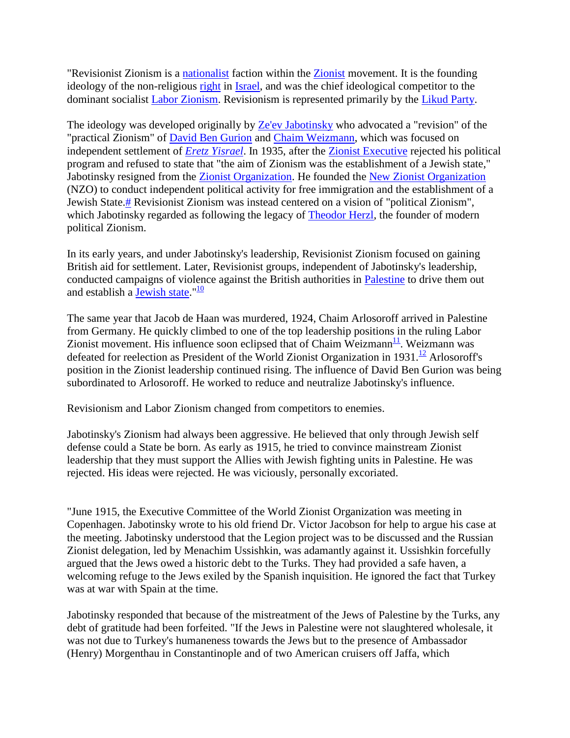"Revisionist Zionism is a [nationalist](http://en.wikipedia.org/wiki/Nationalism%20/%20Nationalis) faction within the [Zionist](http://en.wikipedia.org/wiki/Zionism%20/%20Zionis) movement. It is the founding ideology of the non-religious [right](http://en.wikipedia.org/wiki/Right-wing%20/%20Right-win) in [Israel,](http://en.wikipedia.org/wiki/Israel%20/%20Israe) and was the chief ideological competitor to the dominant socialist [Labor Zionism.](http://en.wikipedia.org/wiki/Labor_Zionism%20/%20Labor%20Zionis) Revisionism is represented primarily by the [Likud Party.](http://en.wikipedia.org/wiki/Likud_Party%20/%20Likud%20Part)

The ideology was developed originally by [Ze'ev Jabotinsky](http://en.wikipedia.org/wiki/Ze%27ev_Jabotinsky%20/%20Ze) who advocated a "revision" of the "practical Zionism" of [David Ben Gurion](http://en.wikipedia.org/wiki/David_Ben_Gurion%20/%20David%20Ben%20Gurio) and [Chaim Weizmann,](http://en.wikipedia.org/wiki/Chaim_Weizmann%20/%20Chaim%20Weizman) which was focused on independent settlement of *[Eretz Yisrael](http://en.wikipedia.org/wiki/Eretz_Yisrael%20/%20Eretz%20Yisrae)*. In 1935, after the [Zionist Executive](http://en.wikipedia.org/w/index.php?title=Zionist_Executive&action=edit&redlink=1%20//%20Zionist%20Executive%20(page%20does%20not%20exist) rejected his political program and refused to state that "the aim of Zionism was the establishment of a Jewish state," Jabotinsky resigned from the [Zionist Organization.](http://en.wikipedia.org/wiki/World_Zionist_Organization%20/%20World%20Zionist%20Organizatio) He founded the [New Zionist Organization](http://en.wikipedia.org/wiki/New_Zionist_Organization%20/%20New%20Zionist%20Organizatio) (NZO) to conduct independent political activity for free immigration and the establishment of a Jewish State[.#](http://en.wikipedia.org/wiki/Revisionist_Zionism%20/%20cite_note-) Revisionist Zionism was instead centered on a vision of "political Zionism", which Jabotinsky regarded as following the legacy of [Theodor Herzl,](http://en.wikipedia.org/wiki/Theodor_Herzl%20/%20Theodor%20Herz) the founder of modern political Zionism.

In its early years, and under Jabotinsky's leadership, Revisionist Zionism focused on gaining British aid for settlement. Later, Revisionist groups, independent of Jabotinsky's leadership, conducted campaigns of violence against the British authorities in [Palestine](http://en.wikipedia.org/wiki/Palestine%20/%20Palestin) to drive them out and establish a [Jewish state.](http://en.wikipedia.org/wiki/Jewish_state%20/%20Jewish%20stat)" $\frac{10}{10}$  $\frac{10}{10}$  $\frac{10}{10}$ 

The same year that Jacob de Haan was murdered, 1924, Chaim Arlosoroff arrived in Palestine from Germany. He quickly climbed to one of the top leadership positions in the ruling Labor Zionist movement. His influence soon eclipsed that of Chaim Weizmann $\frac{11}{1}$  $\frac{11}{1}$  $\frac{11}{1}$ . Weizmann was defeated for reelection as President of the World Zionist Organization in 1931.<sup>[12](http://www.jewishmag.com/149mag/arlosoroff/arlosoroff.htm#FOOTNOTE)</sup> Arlosoroff's position in the Zionist leadership continued rising. The influence of David Ben Gurion was being subordinated to Arlosoroff. He worked to reduce and neutralize Jabotinsky's influence.

Revisionism and Labor Zionism changed from competitors to enemies.

Jabotinsky's Zionism had always been aggressive. He believed that only through Jewish self defense could a State be born. As early as 1915, he tried to convince mainstream Zionist leadership that they must support the Allies with Jewish fighting units in Palestine. He was rejected. His ideas were rejected. He was viciously, personally excoriated.

"June 1915, the Executive Committee of the World Zionist Organization was meeting in Copenhagen. Jabotinsky wrote to his old friend Dr. Victor Jacobson for help to argue his case at the meeting. Jabotinsky understood that the Legion project was to be discussed and the Russian Zionist delegation, led by Menachim Ussishkin, was adamantly against it. Ussishkin forcefully argued that the Jews owed a historic debt to the Turks. They had provided a safe haven, a welcoming refuge to the Jews exiled by the Spanish inquisition. He ignored the fact that Turkey was at war with Spain at the time.

Jabotinsky responded that because of the mistreatment of the Jews of Palestine by the Turks, any debt of gratitude had been forfeited. "If the Jews in Palestine were not slaughtered wholesale, it was not due to Turkey's humaneness towards the Jews but to the presence of Ambassador (Henry) Morgenthau in Constantinople and of two American cruisers off Jaffa, which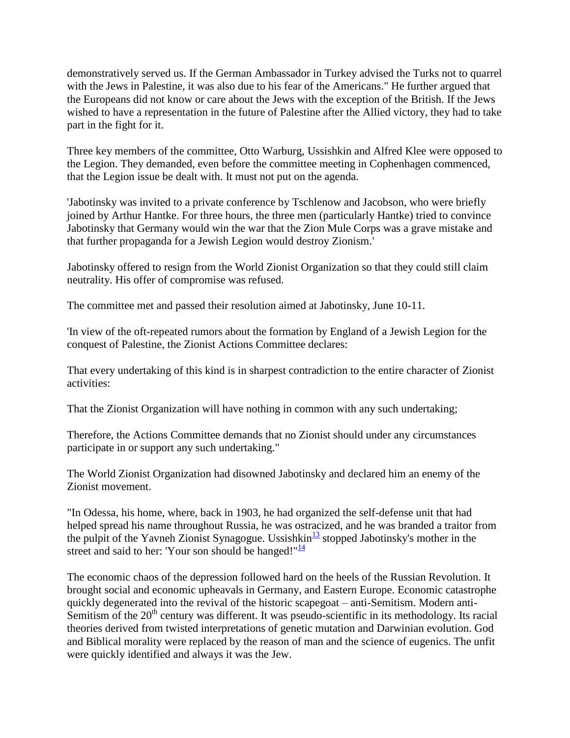demonstratively served us. If the German Ambassador in Turkey advised the Turks not to quarrel with the Jews in Palestine, it was also due to his fear of the Americans." He further argued that the Europeans did not know or care about the Jews with the exception of the British. If the Jews wished to have a representation in the future of Palestine after the Allied victory, they had to take part in the fight for it.

Three key members of the committee, Otto Warburg, Ussishkin and Alfred Klee were opposed to the Legion. They demanded, even before the committee meeting in Cophenhagen commenced, that the Legion issue be dealt with. It must not put on the agenda.

'Jabotinsky was invited to a private conference by Tschlenow and Jacobson, who were briefly joined by Arthur Hantke. For three hours, the three men (particularly Hantke) tried to convince Jabotinsky that Germany would win the war that the Zion Mule Corps was a grave mistake and that further propaganda for a Jewish Legion would destroy Zionism.'

Jabotinsky offered to resign from the World Zionist Organization so that they could still claim neutrality. His offer of compromise was refused.

The committee met and passed their resolution aimed at Jabotinsky, June 10-11.

'In view of the oft-repeated rumors about the formation by England of a Jewish Legion for the conquest of Palestine, the Zionist Actions Committee declares:

That every undertaking of this kind is in sharpest contradiction to the entire character of Zionist activities:

That the Zionist Organization will have nothing in common with any such undertaking;

Therefore, the Actions Committee demands that no Zionist should under any circumstances participate in or support any such undertaking."

The World Zionist Organization had disowned Jabotinsky and declared him an enemy of the Zionist movement.

"In Odessa, his home, where, back in 1903, he had organized the self-defense unit that had helped spread his name throughout Russia, he was ostracized, and he was branded a traitor from the pulpit of the Yavneh Zionist Synagogue. Ussishkin $\frac{13}{13}$  $\frac{13}{13}$  $\frac{13}{13}$  stopped Jabotinsky's mother in the street and said to her: 'Your son should be hanged!" $\frac{14}{14}$  $\frac{14}{14}$  $\frac{14}{14}$ 

The economic chaos of the depression followed hard on the heels of the Russian Revolution. It brought social and economic upheavals in Germany, and Eastern Europe. Economic catastrophe quickly degenerated into the revival of the historic scapegoat – anti-Semitism. Modern anti-Semitism of the  $20<sup>th</sup>$  century was different. It was pseudo-scientific in its methodology. Its racial theories derived from twisted interpretations of genetic mutation and Darwinian evolution. God and Biblical morality were replaced by the reason of man and the science of eugenics. The unfit were quickly identified and always it was the Jew.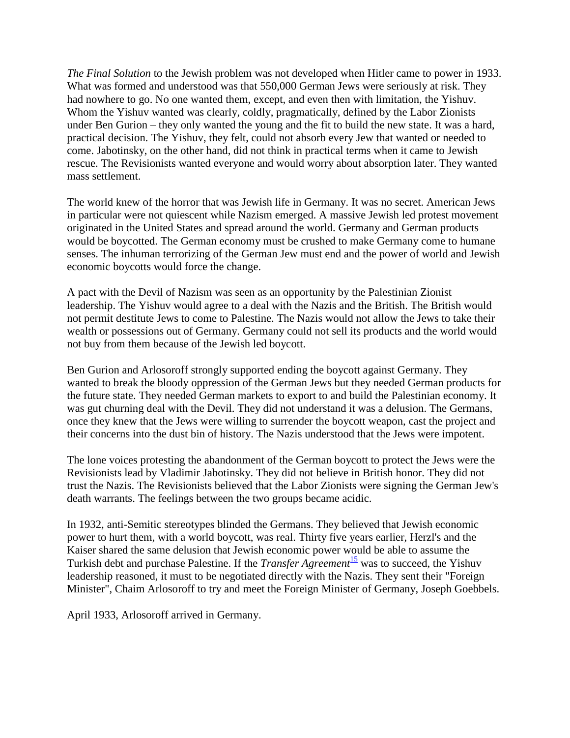*The Final Solution* to the Jewish problem was not developed when Hitler came to power in 1933. What was formed and understood was that 550,000 German Jews were seriously at risk. They had nowhere to go. No one wanted them, except, and even then with limitation, the Yishuv. Whom the Yishuv wanted was clearly, coldly, pragmatically, defined by the Labor Zionists under Ben Gurion – they only wanted the young and the fit to build the new state. It was a hard, practical decision. The Yishuv, they felt, could not absorb every Jew that wanted or needed to come. Jabotinsky, on the other hand, did not think in practical terms when it came to Jewish rescue. The Revisionists wanted everyone and would worry about absorption later. They wanted mass settlement.

The world knew of the horror that was Jewish life in Germany. It was no secret. American Jews in particular were not quiescent while Nazism emerged. A massive Jewish led protest movement originated in the United States and spread around the world. Germany and German products would be boycotted. The German economy must be crushed to make Germany come to humane senses. The inhuman terrorizing of the German Jew must end and the power of world and Jewish economic boycotts would force the change.

A pact with the Devil of Nazism was seen as an opportunity by the Palestinian Zionist leadership. The Yishuv would agree to a deal with the Nazis and the British. The British would not permit destitute Jews to come to Palestine. The Nazis would not allow the Jews to take their wealth or possessions out of Germany. Germany could not sell its products and the world would not buy from them because of the Jewish led boycott.

Ben Gurion and Arlosoroff strongly supported ending the boycott against Germany. They wanted to break the bloody oppression of the German Jews but they needed German products for the future state. They needed German markets to export to and build the Palestinian economy. It was gut churning deal with the Devil. They did not understand it was a delusion. The Germans, once they knew that the Jews were willing to surrender the boycott weapon, cast the project and their concerns into the dust bin of history. The Nazis understood that the Jews were impotent.

The lone voices protesting the abandonment of the German boycott to protect the Jews were the Revisionists lead by Vladimir Jabotinsky. They did not believe in British honor. They did not trust the Nazis. The Revisionists believed that the Labor Zionists were signing the German Jew's death warrants. The feelings between the two groups became acidic.

In 1932, anti-Semitic stereotypes blinded the Germans. They believed that Jewish economic power to hurt them, with a world boycott, was real. Thirty five years earlier, Herzl's and the Kaiser shared the same delusion that Jewish economic power would be able to assume the Turkish debt and purchase Palestine. If the *Transfer Agreement*<sup>[15](http://www.jewishmag.com/149mag/arlosoroff/arlosoroff.htm#FOOTNOTE)</sup> was to succeed, the Yishuv leadership reasoned, it must to be negotiated directly with the Nazis. They sent their "Foreign Minister", Chaim Arlosoroff to try and meet the Foreign Minister of Germany, Joseph Goebbels.

April 1933, Arlosoroff arrived in Germany.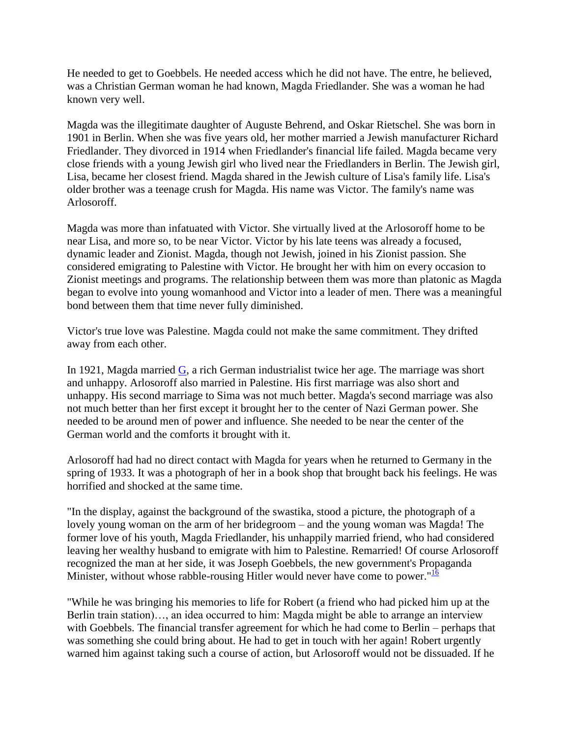He needed to get to Goebbels. He needed access which he did not have. The entre, he believed, was a Christian German woman he had known, Magda Friedlander. She was a woman he had known very well.

Magda was the illegitimate daughter of Auguste Behrend, and Oskar Rietschel. She was born in 1901 in Berlin. When she was five years old, her mother married a Jewish manufacturer Richard Friedlander. They divorced in 1914 when Friedlander's financial life failed. Magda became very close friends with a young Jewish girl who lived near the Friedlanders in Berlin. The Jewish girl, Lisa, became her closest friend. Magda shared in the Jewish culture of Lisa's family life. Lisa's older brother was a teenage crush for Magda. His name was Victor. The family's name was Arlosoroff.

Magda was more than infatuated with Victor. She virtually lived at the Arlosoroff home to be near Lisa, and more so, to be near Victor. Victor by his late teens was already a focused, dynamic leader and Zionist. Magda, though not Jewish, joined in his Zionist passion. She considered emigrating to Palestine with Victor. He brought her with him on every occasion to Zionist meetings and programs. The relationship between them was more than platonic as Magda began to evolve into young womanhood and Victor into a leader of men. There was a meaningful bond between them that time never fully diminished.

Victor's true love was Palestine. Magda could not make the same commitment. They drifted away from each other.

In 1921, Magda married [G,](http://en.wikipedia.org/wiki/G%C3%BCnther_Quandt%20/) a rich German industrialist twice her age. The marriage was short and unhappy. Arlosoroff also married in Palestine. His first marriage was also short and unhappy. His second marriage to Sima was not much better. Magda's second marriage was also not much better than her first except it brought her to the center of Nazi German power. She needed to be around men of power and influence. She needed to be near the center of the German world and the comforts it brought with it.

Arlosoroff had had no direct contact with Magda for years when he returned to Germany in the spring of 1933. It was a photograph of her in a book shop that brought back his feelings. He was horrified and shocked at the same time.

"In the display, against the background of the swastika, stood a picture, the photograph of a lovely young woman on the arm of her bridegroom – and the young woman was Magda! The former love of his youth, Magda Friedlander, his unhappily married friend, who had considered leaving her wealthy husband to emigrate with him to Palestine. Remarried! Of course Arlosoroff recognized the man at her side, it was Joseph Goebbels, the new government's Propaganda Minister, without whose rabble-rousing Hitler would never have come to power." $\frac{16}{6}$  $\frac{16}{6}$  $\frac{16}{6}$ 

"While he was bringing his memories to life for Robert (a friend who had picked him up at the Berlin train station)…, an idea occurred to him: Magda might be able to arrange an interview with Goebbels. The financial transfer agreement for which he had come to Berlin – perhaps that was something she could bring about. He had to get in touch with her again! Robert urgently warned him against taking such a course of action, but Arlosoroff would not be dissuaded. If he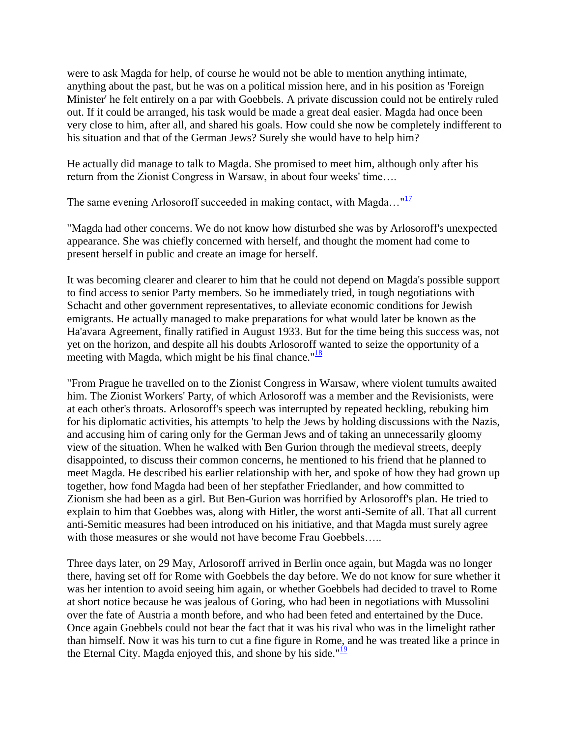were to ask Magda for help, of course he would not be able to mention anything intimate, anything about the past, but he was on a political mission here, and in his position as 'Foreign Minister' he felt entirely on a par with Goebbels. A private discussion could not be entirely ruled out. If it could be arranged, his task would be made a great deal easier. Magda had once been very close to him, after all, and shared his goals. How could she now be completely indifferent to his situation and that of the German Jews? Surely she would have to help him?

He actually did manage to talk to Magda. She promised to meet him, although only after his return from the Zionist Congress in Warsaw, in about four weeks' time….

The same evening Arlosoroff succeeded in making contact, with Magda..." $\frac{17}{17}$  $\frac{17}{17}$  $\frac{17}{17}$ 

"Magda had other concerns. We do not know how disturbed she was by Arlosoroff's unexpected appearance. She was chiefly concerned with herself, and thought the moment had come to present herself in public and create an image for herself.

It was becoming clearer and clearer to him that he could not depend on Magda's possible support to find access to senior Party members. So he immediately tried, in tough negotiations with Schacht and other government representatives, to alleviate economic conditions for Jewish emigrants. He actually managed to make preparations for what would later be known as the Ha'avara Agreement, finally ratified in August 1933. But for the time being this success was, not yet on the horizon, and despite all his doubts Arlosoroff wanted to seize the opportunity of a meeting with Magda, which might be his final chance." $\frac{18}{18}$  $\frac{18}{18}$  $\frac{18}{18}$ 

"From Prague he travelled on to the Zionist Congress in Warsaw, where violent tumults awaited him. The Zionist Workers' Party, of which Arlosoroff was a member and the Revisionists, were at each other's throats. Arlosoroff's speech was interrupted by repeated heckling, rebuking him for his diplomatic activities, his attempts 'to help the Jews by holding discussions with the Nazis, and accusing him of caring only for the German Jews and of taking an unnecessarily gloomy view of the situation. When he walked with Ben Gurion through the medieval streets, deeply disappointed, to discuss their common concerns, he mentioned to his friend that he planned to meet Magda. He described his earlier relationship with her, and spoke of how they had grown up together, how fond Magda had been of her stepfather Friedlander, and how committed to Zionism she had been as a girl. But Ben-Gurion was horrified by Arlosoroff's plan. He tried to explain to him that Goebbes was, along with Hitler, the worst anti-Semite of all. That all current anti-Semitic measures had been introduced on his initiative, and that Magda must surely agree with those measures or she would not have become Frau Goebbels…..

Three days later, on 29 May, Arlosoroff arrived in Berlin once again, but Magda was no longer there, having set off for Rome with Goebbels the day before. We do not know for sure whether it was her intention to avoid seeing him again, or whether Goebbels had decided to travel to Rome at short notice because he was jealous of Goring, who had been in negotiations with Mussolini over the fate of Austria a month before, and who had been feted and entertained by the Duce. Once again Goebbels could not bear the fact that it was his rival who was in the limelight rather than himself. Now it was his turn to cut a fine figure in Rome, and he was treated like a prince in the Eternal City. Magda enjoyed this, and shone by his side." $\frac{19}{2}$  $\frac{19}{2}$  $\frac{19}{2}$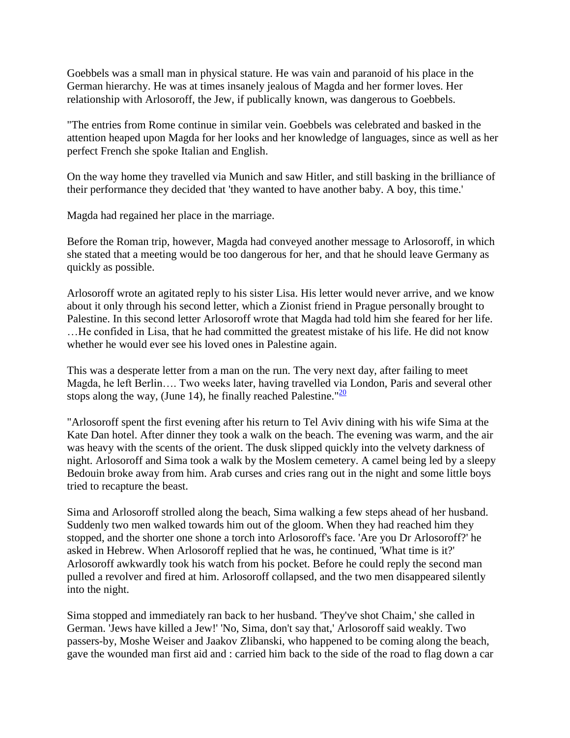Goebbels was a small man in physical stature. He was vain and paranoid of his place in the German hierarchy. He was at times insanely jealous of Magda and her former loves. Her relationship with Arlosoroff, the Jew, if publically known, was dangerous to Goebbels.

"The entries from Rome continue in similar vein. Goebbels was celebrated and basked in the attention heaped upon Magda for her looks and her knowledge of languages, since as well as her perfect French she spoke Italian and English.

On the way home they travelled via Munich and saw Hitler, and still basking in the brilliance of their performance they decided that 'they wanted to have another baby. A boy, this time.'

Magda had regained her place in the marriage.

Before the Roman trip, however, Magda had conveyed another message to Arlosoroff, in which she stated that a meeting would be too dangerous for her, and that he should leave Germany as quickly as possible.

Arlosoroff wrote an agitated reply to his sister Lisa. His letter would never arrive, and we know about it only through his second letter, which a Zionist friend in Prague personally brought to Palestine. In this second letter Arlosoroff wrote that Magda had told him she feared for her life. …He confided in Lisa, that he had committed the greatest mistake of his life. He did not know whether he would ever see his loved ones in Palestine again.

This was a desperate letter from a man on the run. The very next day, after failing to meet Magda, he left Berlin…. Two weeks later, having travelled via London, Paris and several other stops along the way, (June 14), he finally reached Palestine." $\frac{20}{20}$  $\frac{20}{20}$  $\frac{20}{20}$ 

"Arlosoroff spent the first evening after his return to Tel Aviv dining with his wife Sima at the Kate Dan hotel. After dinner they took a walk on the beach. The evening was warm, and the air was heavy with the scents of the orient. The dusk slipped quickly into the velvety darkness of night. Arlosoroff and Sima took a walk by the Moslem cemetery. A camel being led by a sleepy Bedouin broke away from him. Arab curses and cries rang out in the night and some little boys tried to recapture the beast.

Sima and Arlosoroff strolled along the beach, Sima walking a few steps ahead of her husband. Suddenly two men walked towards him out of the gloom. When they had reached him they stopped, and the shorter one shone a torch into Arlosoroff's face. 'Are you Dr Arlosoroff?' he asked in Hebrew. When Arlosoroff replied that he was, he continued, 'What time is it?' Arlosoroff awkwardly took his watch from his pocket. Before he could reply the second man pulled a revolver and fired at him. Arlosoroff collapsed, and the two men disappeared silently into the night.

Sima stopped and immediately ran back to her husband. 'They've shot Chaim,' she called in German. 'Jews have killed a Jew!' 'No, Sima, don't say that,' Arlosoroff said weakly. Two passers-by, Moshe Weiser and Jaakov Zlibanski, who happened to be coming along the beach, gave the wounded man first aid and : carried him back to the side of the road to flag down a car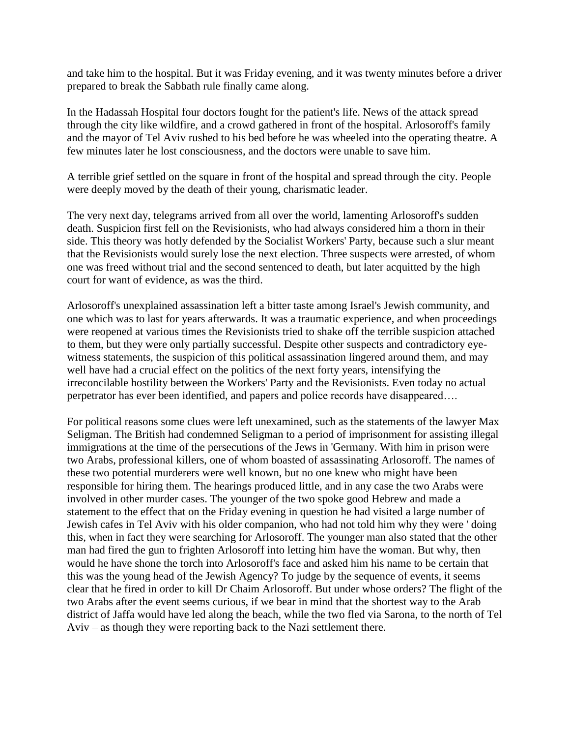and take him to the hospital. But it was Friday evening, and it was twenty minutes before a driver prepared to break the Sabbath rule finally came along.

In the Hadassah Hospital four doctors fought for the patient's life. News of the attack spread through the city like wildfire, and a crowd gathered in front of the hospital. Arlosoroff's family and the mayor of Tel Aviv rushed to his bed before he was wheeled into the operating theatre. A few minutes later he lost consciousness, and the doctors were unable to save him.

A terrible grief settled on the square in front of the hospital and spread through the city. People were deeply moved by the death of their young, charismatic leader.

The very next day, telegrams arrived from all over the world, lamenting Arlosoroff's sudden death. Suspicion first fell on the Revisionists, who had always considered him a thorn in their side. This theory was hotly defended by the Socialist Workers' Party, because such a slur meant that the Revisionists would surely lose the next election. Three suspects were arrested, of whom one was freed without trial and the second sentenced to death, but later acquitted by the high court for want of evidence, as was the third.

Arlosoroff's unexplained assassination left a bitter taste among Israel's Jewish community, and one which was to last for years afterwards. It was a traumatic experience, and when proceedings were reopened at various times the Revisionists tried to shake off the terrible suspicion attached to them, but they were only partially successful. Despite other suspects and contradictory eyewitness statements, the suspicion of this political assassination lingered around them, and may well have had a crucial effect on the politics of the next forty years, intensifying the irreconcilable hostility between the Workers' Party and the Revisionists. Even today no actual perpetrator has ever been identified, and papers and police records have disappeared….

For political reasons some clues were left unexamined, such as the statements of the lawyer Max Seligman. The British had condemned Seligman to a period of imprisonment for assisting illegal immigrations at the time of the persecutions of the Jews in 'Germany. With him in prison were two Arabs, professional killers, one of whom boasted of assassinating Arlosoroff. The names of these two potential murderers were well known, but no one knew who might have been responsible for hiring them. The hearings produced little, and in any case the two Arabs were involved in other murder cases. The younger of the two spoke good Hebrew and made a statement to the effect that on the Friday evening in question he had visited a large number of Jewish cafes in Tel Aviv with his older companion, who had not told him why they were ' doing this, when in fact they were searching for Arlosoroff. The younger man also stated that the other man had fired the gun to frighten Arlosoroff into letting him have the woman. But why, then would he have shone the torch into Arlosoroff's face and asked him his name to be certain that this was the young head of the Jewish Agency? To judge by the sequence of events, it seems clear that he fired in order to kill Dr Chaim Arlosoroff. But under whose orders? The flight of the two Arabs after the event seems curious, if we bear in mind that the shortest way to the Arab district of Jaffa would have led along the beach, while the two fled via Sarona, to the north of Tel Aviv – as though they were reporting back to the Nazi settlement there.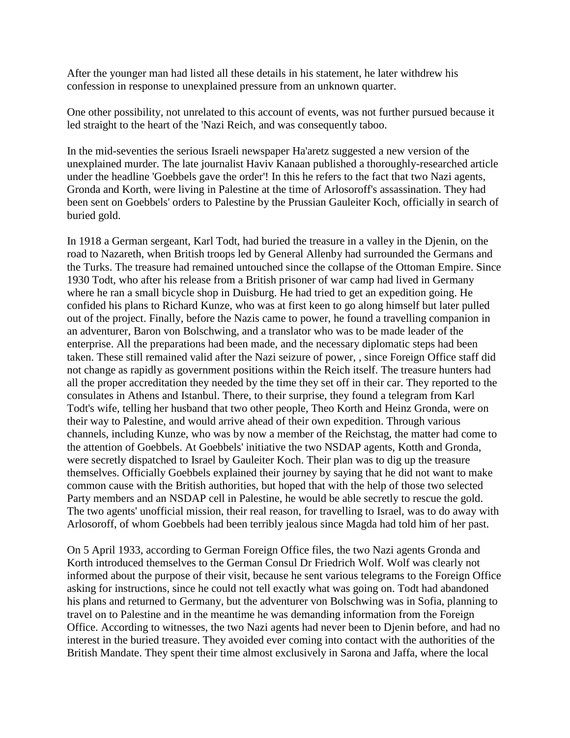After the younger man had listed all these details in his statement, he later withdrew his confession in response to unexplained pressure from an unknown quarter.

One other possibility, not unrelated to this account of events, was not further pursued because it led straight to the heart of the 'Nazi Reich, and was consequently taboo.

In the mid-seventies the serious Israeli newspaper Ha'aretz suggested a new version of the unexplained murder. The late journalist Haviv Kanaan published a thoroughly-researched article under the headline 'Goebbels gave the order'! In this he refers to the fact that two Nazi agents, Gronda and Korth, were living in Palestine at the time of Arlosoroff's assassination. They had been sent on Goebbels' orders to Palestine by the Prussian Gauleiter Koch, officially in search of buried gold.

In 1918 a German sergeant, Karl Todt, had buried the treasure in a valley in the Djenin, on the road to Nazareth, when British troops led by General Allenby had surrounded the Germans and the Turks. The treasure had remained untouched since the collapse of the Ottoman Empire. Since 1930 Todt, who after his release from a British prisoner of war camp had lived in Germany where he ran a small bicycle shop in Duisburg. He had tried to get an expedition going. He confided his plans to Richard Kunze, who was at first keen to go along himself but later pulled out of the project. Finally, before the Nazis came to power, he found a travelling companion in an adventurer, Baron von Bolschwing, and a translator who was to be made leader of the enterprise. All the preparations had been made, and the necessary diplomatic steps had been taken. These still remained valid after the Nazi seizure of power, , since Foreign Office staff did not change as rapidly as government positions within the Reich itself. The treasure hunters had all the proper accreditation they needed by the time they set off in their car. They reported to the consulates in Athens and Istanbul. There, to their surprise, they found a telegram from Karl Todt's wife, telling her husband that two other people, Theo Korth and Heinz Gronda, were on their way to Palestine, and would arrive ahead of their own expedition. Through various channels, including Kunze, who was by now a member of the Reichstag, the matter had come to the attention of Goebbels. At Goebbels' initiative the two NSDAP agents, Kotth and Gronda, were secretly dispatched to Israel by Gauleiter Koch. Their plan was to dig up the treasure themselves. Officially Goebbels explained their journey by saying that he did not want to make common cause with the British authorities, but hoped that with the help of those two selected Party members and an NSDAP cell in Palestine, he would be able secretly to rescue the gold. The two agents' unofficial mission, their real reason, for travelling to Israel, was to do away with Arlosoroff, of whom Goebbels had been terribly jealous since Magda had told him of her past.

On 5 April 1933, according to German Foreign Office files, the two Nazi agents Gronda and Korth introduced themselves to the German Consul Dr Friedrich Wolf. Wolf was clearly not informed about the purpose of their visit, because he sent various telegrams to the Foreign Office asking for instructions, since he could not tell exactly what was going on. Todt had abandoned his plans and returned to Germany, but the adventurer von Bolschwing was in Sofia, planning to travel on to Palestine and in the meantime he was demanding information from the Foreign Office. According to witnesses, the two Nazi agents had never been to Djenin before, and had no interest in the buried treasure. They avoided ever coming into contact with the authorities of the British Mandate. They spent their time almost exclusively in Sarona and Jaffa, where the local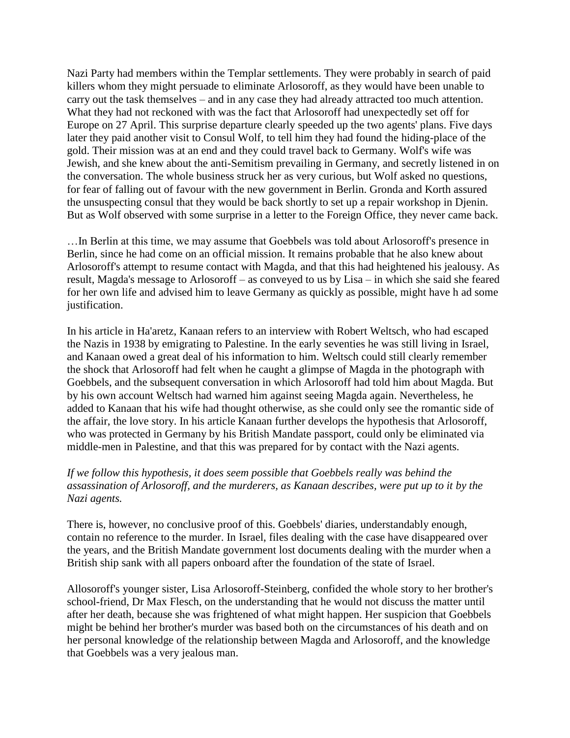Nazi Party had members within the Templar settlements. They were probably in search of paid killers whom they might persuade to eliminate Arlosoroff, as they would have been unable to carry out the task themselves – and in any case they had already attracted too much attention. What they had not reckoned with was the fact that Arlosoroff had unexpectedly set off for Europe on 27 April. This surprise departure clearly speeded up the two agents' plans. Five days later they paid another visit to Consul Wolf, to tell him they had found the hiding-place of the gold. Their mission was at an end and they could travel back to Germany. Wolf's wife was Jewish, and she knew about the anti-Semitism prevailing in Germany, and secretly listened in on the conversation. The whole business struck her as very curious, but Wolf asked no questions, for fear of falling out of favour with the new government in Berlin. Gronda and Korth assured the unsuspecting consul that they would be back shortly to set up a repair workshop in Djenin. But as Wolf observed with some surprise in a letter to the Foreign Office, they never came back.

…In Berlin at this time, we may assume that Goebbels was told about Arlosoroff's presence in Berlin, since he had come on an official mission. It remains probable that he also knew about Arlosoroff's attempt to resume contact with Magda, and that this had heightened his jealousy. As result, Magda's message to Arlosoroff – as conveyed to us by Lisa – in which she said she feared for her own life and advised him to leave Germany as quickly as possible, might have h ad some justification.

In his article in Ha'aretz, Kanaan refers to an interview with Robert Weltsch, who had escaped the Nazis in 1938 by emigrating to Palestine. In the early seventies he was still living in Israel, and Kanaan owed a great deal of his information to him. Weltsch could still clearly remember the shock that Arlosoroff had felt when he caught a glimpse of Magda in the photograph with Goebbels, and the subsequent conversation in which Arlosoroff had told him about Magda. But by his own account Weltsch had warned him against seeing Magda again. Nevertheless, he added to Kanaan that his wife had thought otherwise, as she could only see the romantic side of the affair, the love story. In his article Kanaan further develops the hypothesis that Arlosoroff, who was protected in Germany by his British Mandate passport, could only be eliminated via middle-men in Palestine, and that this was prepared for by contact with the Nazi agents*.*

#### *If we follow this hypothesis, it does seem possible that Goebbels really was behind the assassination of Arlosoroff, and the murderers, as Kanaan describes, were put up to it by the Nazi agents.*

There is, however, no conclusive proof of this. Goebbels' diaries, understandably enough, contain no reference to the murder. In Israel, files dealing with the case have disappeared over the years, and the British Mandate government lost documents dealing with the murder when a British ship sank with all papers onboard after the foundation of the state of Israel.

Allosoroff's younger sister, Lisa Arlosoroff-Steinberg, confided the whole story to her brother's school-friend, Dr Max Flesch, on the understanding that he would not discuss the matter until after her death, because she was frightened of what might happen. Her suspicion that Goebbels might be behind her brother's murder was based both on the circumstances of his death and on her personal knowledge of the relationship between Magda and Arlosoroff, and the knowledge that Goebbels was a very jealous man.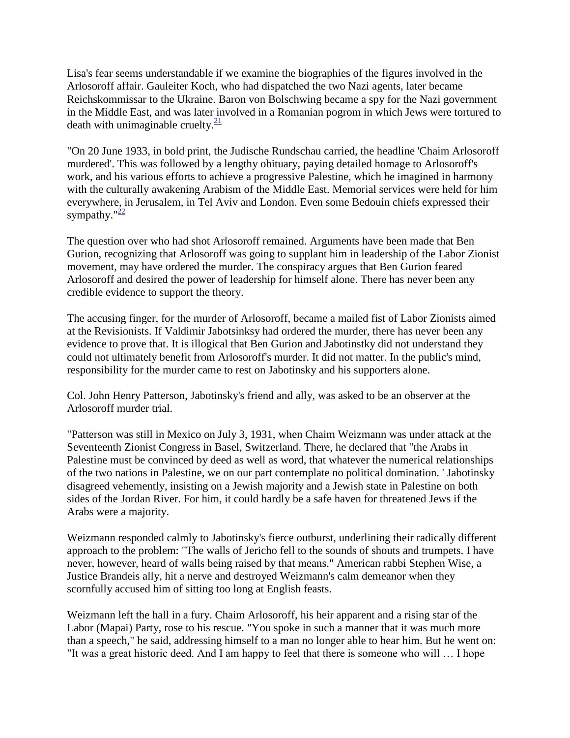Lisa's fear seems understandable if we examine the biographies of the figures involved in the Arlosoroff affair. Gauleiter Koch, who had dispatched the two Nazi agents, later became Reichskommissar to the Ukraine. Baron von Bolschwing became a spy for the Nazi government in the Middle East, and was later involved in a Romanian pogrom in which Jews were tortured to death with unimaginable cruelty. $\frac{21}{2}$  $\frac{21}{2}$  $\frac{21}{2}$ 

"On 20 June 1933, in bold print, the Judische Rundschau carried, the headline 'Chaim Arlosoroff murdered'. This was followed by a lengthy obituary, paying detailed homage to Arlosoroff's work, and his various efforts to achieve a progressive Palestine, which he imagined in harmony with the culturally awakening Arabism of the Middle East. Memorial services were held for him everywhere, in Jerusalem, in Tel Aviv and London. Even some Bedouin chiefs expressed their sympathy." $\frac{22}{2}$  $\frac{22}{2}$  $\frac{22}{2}$ 

The question over who had shot Arlosoroff remained. Arguments have been made that Ben Gurion, recognizing that Arlosoroff was going to supplant him in leadership of the Labor Zionist movement, may have ordered the murder. The conspiracy argues that Ben Gurion feared Arlosoroff and desired the power of leadership for himself alone. There has never been any credible evidence to support the theory.

The accusing finger, for the murder of Arlosoroff, became a mailed fist of Labor Zionists aimed at the Revisionists. If Valdimir Jabotsinksy had ordered the murder, there has never been any evidence to prove that. It is illogical that Ben Gurion and Jabotinstky did not understand they could not ultimately benefit from Arlosoroff's murder. It did not matter. In the public's mind, responsibility for the murder came to rest on Jabotinsky and his supporters alone.

Col. John Henry Patterson, Jabotinsky's friend and ally, was asked to be an observer at the Arlosoroff murder trial.

"Patterson was still in Mexico on July 3, 1931, when Chaim Weizmann was under attack at the Seventeenth Zionist Congress in Basel, Switzerland. There, he declared that "the Arabs in Palestine must be convinced by deed as well as word, that whatever the numerical relationships of the two nations in Palestine, we on our part contemplate no political domination. ' Jabotinsky disagreed vehemently, insisting on a Jewish majority and a Jewish state in Palestine on both sides of the Jordan River. For him, it could hardly be a safe haven for threatened Jews if the Arabs were a majority.

Weizmann responded calmly to Jabotinsky's fierce outburst, underlining their radically different approach to the problem: "The walls of Jericho fell to the sounds of shouts and trumpets. I have never, however, heard of walls being raised by that means." American rabbi Stephen Wise, a Justice Brandeis ally, hit a nerve and destroyed Weizmann's calm demeanor when they scornfully accused him of sitting too long at English feasts.

Weizmann left the hall in a fury. Chaim Arlosoroff, his heir apparent and a rising star of the Labor (Mapai) Party, rose to his rescue. "You spoke in such a manner that it was much more than a speech," he said, addressing himself to a man no longer able to hear him. But he went on: "It was a great historic deed. And I am happy to feel that there is someone who will … I hope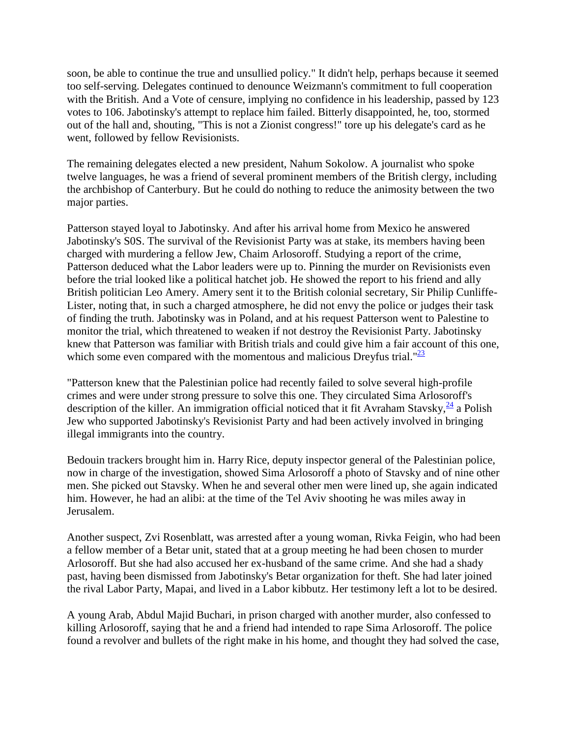soon, be able to continue the true and unsullied policy." It didn't help, perhaps because it seemed too self-serving. Delegates continued to denounce Weizmann's commitment to full cooperation with the British. And a Vote of censure, implying no confidence in his leadership, passed by 123 votes to 106. Jabotinsky's attempt to replace him failed. Bitterly disappointed, he, too, stormed out of the hall and, shouting, "This is not a Zionist congress!" tore up his delegate's card as he went, followed by fellow Revisionists.

The remaining delegates elected a new president, Nahum Sokolow. A journalist who spoke twelve languages, he was a friend of several prominent members of the British clergy, including the archbishop of Canterbury. But he could do nothing to reduce the animosity between the two major parties.

Patterson stayed loyal to Jabotinsky. And after his arrival home from Mexico he answered Jabotinsky's S0S. The survival of the Revisionist Party was at stake, its members having been charged with murdering a fellow Jew, Chaim Arlosoroff. Studying a report of the crime, Patterson deduced what the Labor leaders were up to. Pinning the murder on Revisionists even before the trial looked like a political hatchet job. He showed the report to his friend and ally British politician Leo Amery. Amery sent it to the British colonial secretary, Sir Philip Cunliffe-Lister, noting that, in such a charged atmosphere, he did not envy the police or judges their task of finding the truth. Jabotinsky was in Poland, and at his request Patterson went to Palestine to monitor the trial, which threatened to weaken if not destroy the Revisionist Party. Jabotinsky knew that Patterson was familiar with British trials and could give him a fair account of this one, which some even compared with the momentous and malicious Dreyfus trial." $\frac{23}{2}$  $\frac{23}{2}$  $\frac{23}{2}$ 

"Patterson knew that the Palestinian police had recently failed to solve several high-profile crimes and were under strong pressure to solve this one. They circulated Sima Arlosoroff's description of the killer. An immigration official noticed that it fit Avraham Stavsky,  $\frac{24}{3}$  $\frac{24}{3}$  $\frac{24}{3}$  a Polish Jew who supported Jabotinsky's Revisionist Party and had been actively involved in bringing illegal immigrants into the country.

Bedouin trackers brought him in. Harry Rice, deputy inspector general of the Palestinian police, now in charge of the investigation, showed Sima Arlosoroff a photo of Stavsky and of nine other men. She picked out Stavsky. When he and several other men were lined up, she again indicated him. However, he had an alibi: at the time of the Tel Aviv shooting he was miles away in Jerusalem.

Another suspect, Zvi Rosenblatt, was arrested after a young woman, Rivka Feigin, who had been a fellow member of a Betar unit, stated that at a group meeting he had been chosen to murder Arlosoroff. But she had also accused her ex-husband of the same crime. And she had a shady past, having been dismissed from Jabotinsky's Betar organization for theft. She had later joined the rival Labor Party, Mapai, and lived in a Labor kibbutz. Her testimony left a lot to be desired.

A young Arab, Abdul Majid Buchari, in prison charged with another murder, also confessed to killing Arlosoroff, saying that he and a friend had intended to rape Sima Arlosoroff. The police found a revolver and bullets of the right make in his home, and thought they had solved the case,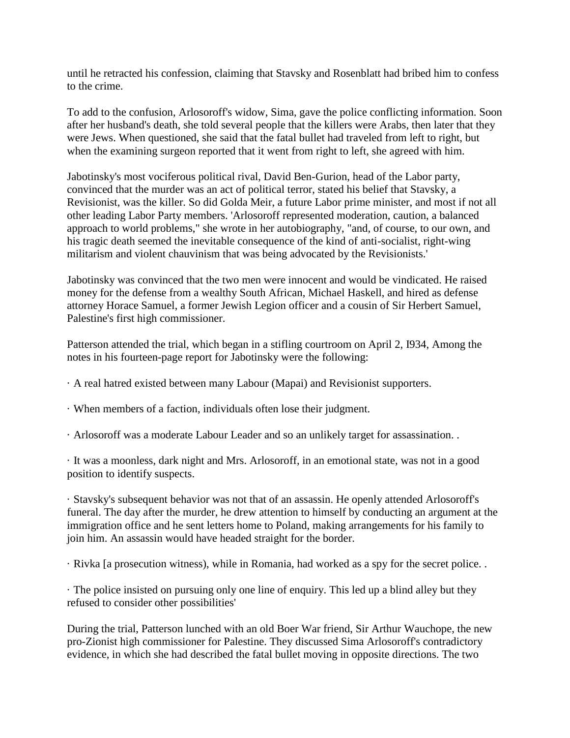until he retracted his confession, claiming that Stavsky and Rosenblatt had bribed him to confess to the crime.

To add to the confusion, Arlosoroff's widow, Sima, gave the police conflicting information. Soon after her husband's death, she told several people that the killers were Arabs, then later that they were Jews. When questioned, she said that the fatal bullet had traveled from left to right, but when the examining surgeon reported that it went from right to left, she agreed with him.

Jabotinsky's most vociferous political rival, David Ben-Gurion, head of the Labor party, convinced that the murder was an act of political terror, stated his belief that Stavsky, a Revisionist, was the killer. So did Golda Meir, a future Labor prime minister, and most if not all other leading Labor Party members. 'Arlosoroff represented moderation, caution, a balanced approach to world problems," she wrote in her autobiography, "and, of course, to our own, and his tragic death seemed the inevitable consequence of the kind of anti-socialist, right-wing militarism and violent chauvinism that was being advocated by the Revisionists.'

Jabotinsky was convinced that the two men were innocent and would be vindicated. He raised money for the defense from a wealthy South African, Michael Haskell, and hired as defense attorney Horace Samuel, a former Jewish Legion officer and a cousin of Sir Herbert Samuel, Palestine's first high commissioner.

Patterson attended the trial, which began in a stifling courtroom on April 2, I934, Among the notes in his fourteen-page report for Jabotinsky were the following:

- · A real hatred existed between many Labour (Mapai) and Revisionist supporters.
- · When members of a faction, individuals often lose their judgment.
- · Arlosoroff was a moderate Labour Leader and so an unlikely target for assassination. .

· It was a moonless, dark night and Mrs. Arlosoroff, in an emotional state, was not in a good position to identify suspects.

· Stavsky's subsequent behavior was not that of an assassin. He openly attended Arlosoroff's funeral. The day after the murder, he drew attention to himself by conducting an argument at the immigration office and he sent letters home to Poland, making arrangements for his family to join him. An assassin would have headed straight for the border.

· Rivka [a prosecution witness), while in Romania, had worked as a spy for the secret police. .

· The police insisted on pursuing only one line of enquiry. This led up a blind alley but they refused to consider other possibilities'

During the trial, Patterson lunched with an old Boer War friend, Sir Arthur Wauchope, the new pro-Zionist high commissioner for Palestine. They discussed Sima Arlosoroff's contradictory evidence, in which she had described the fatal bullet moving in opposite directions. The two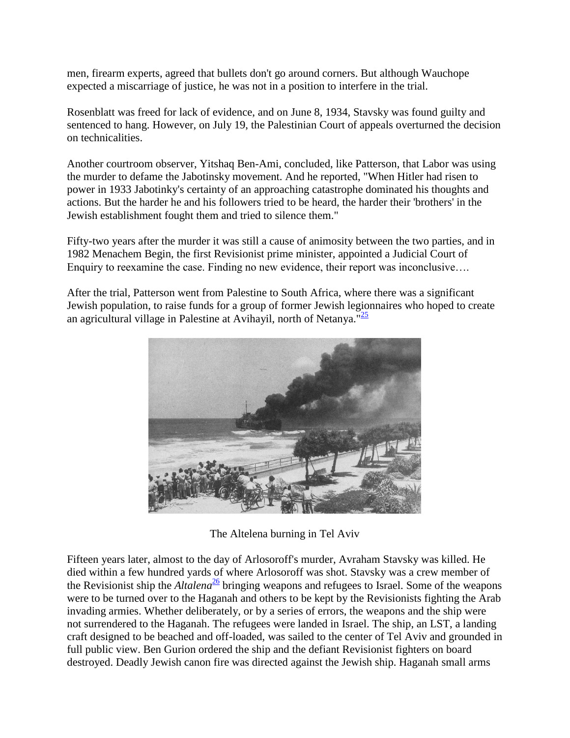men, firearm experts, agreed that bullets don't go around corners. But although Wauchope expected a miscarriage of justice, he was not in a position to interfere in the trial.

Rosenblatt was freed for lack of evidence, and on June 8, 1934, Stavsky was found guilty and sentenced to hang. However, on July 19, the Palestinian Court of appeals overturned the decision on technicalities.

Another courtroom observer, Yitshaq Ben-Ami, concluded, like Patterson, that Labor was using the murder to defame the Jabotinsky movement. And he reported, "When Hitler had risen to power in 1933 Jabotinky's certainty of an approaching catastrophe dominated his thoughts and actions. But the harder he and his followers tried to be heard, the harder their 'brothers' in the Jewish establishment fought them and tried to silence them."

Fifty-two years after the murder it was still a cause of animosity between the two parties, and in 1982 Menachem Begin, the first Revisionist prime minister, appointed a Judicial Court of Enquiry to reexamine the case. Finding no new evidence, their report was inconclusive….

After the trial, Patterson went from Palestine to South Africa, where there was a significant Jewish population, to raise funds for a group of former Jewish legionnaires who hoped to create an agricultural village in Palestine at Avihayil, north of Netanya.<sup>"[25](http://www.jewishmag.com/149mag/arlosoroff/arlosoroff.htm#FOOTNOTE)</sup>



The Altelena burning in Tel Aviv

Fifteen years later, almost to the day of Arlosoroff's murder, Avraham Stavsky was killed. He died within a few hundred yards of where Arlosoroff was shot. Stavsky was a crew member of the Revisionist ship the *Altalena*<sup>[26](http://www.jewishmag.com/149mag/arlosoroff/arlosoroff.htm#FOOTNOTE)</sup> bringing weapons and refugees to Israel. Some of the weapons were to be turned over to the Haganah and others to be kept by the Revisionists fighting the Arab invading armies. Whether deliberately, or by a series of errors, the weapons and the ship were not surrendered to the Haganah. The refugees were landed in Israel. The ship, an LST, a landing craft designed to be beached and off-loaded, was sailed to the center of Tel Aviv and grounded in full public view. Ben Gurion ordered the ship and the defiant Revisionist fighters on board destroyed. Deadly Jewish canon fire was directed against the Jewish ship. Haganah small arms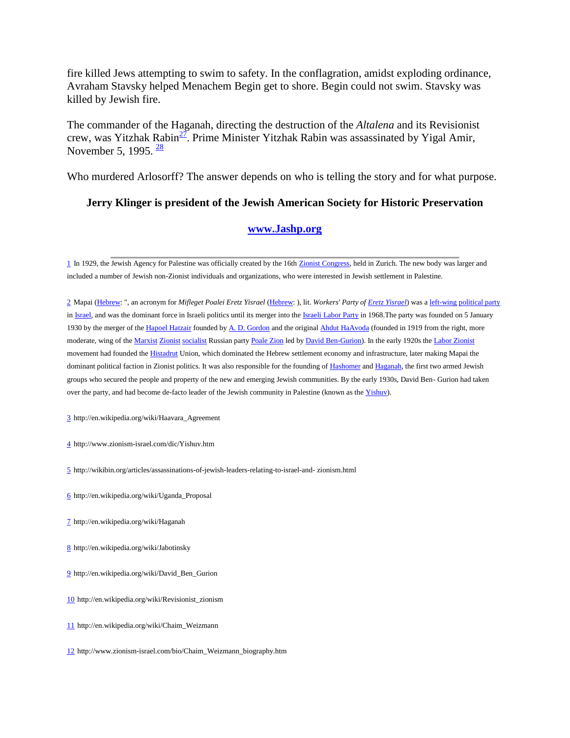fire killed Jews attempting to swim to safety. In the conflagration, amidst exploding ordinance, Avraham Stavsky helped Menachem Begin get to shore. Begin could not swim. Stavsky was killed by Jewish fire.

The commander of the Haganah, directing the destruction of the *Altalena* and its Revisionist crew, was Yitzhak Rabin<sup>[27](http://www.jewishmag.com/149mag/arlosoroff/arlosoroff.htm#FOOTNOTE)</sup>. Prime Minister Yitzhak Rabin was assassinated by Yigal Amir, November 5, 1995.  $\frac{28}{3}$  $\frac{28}{3}$  $\frac{28}{3}$ 

Who murdered Arlosorff? The answer depends on who is telling the story and for what purpose.

#### **Jerry Klinger is president of the Jewish American Society for Historic Preservation**

#### **[www.Jashp.org](http://www.jashp.org/)**

[1](http://www.jewishmag.com/149mag/arlosoroff/arlosoroff.htm#FOOTNOTE 1) In 1929, the Jewish Agency for Palestine was officially created by the 16t[h Zionist Congress,](http://en.wikipedia.org/wiki/Zionist_Congress%20/%20Zionist%20Congres) held in Zurich. The new body was larger and included a number of Jewish non-Zionist individuals and organizations, who were interested in Jewish settlement in Palestine.

[2](http://www.jewishmag.com/149mag/arlosoroff/arlosoroff.htm#FOOTNOTE 2) Mapai [\(Hebrew:](http://en.wikipedia.org/wiki/Hebrew_language%20/%20Hebrew%20languag) ", an acronym for *Mifleget Poalei Eretz Yisrael* [\(Hebrew:](http://en.wikipedia.org/wiki/Hebrew_language%20/%20Hebrew%20languag) ), lit. *Workers' Party o[f Eretz Yisrael](http://en.wikipedia.org/wiki/Eretz_Yisrael%20/%20Eretz)*) was [a left-wing](http://en.wikipedia.org/wiki/Left-wing_politics%20/%20Left-wing%20politic) [political party](http://en.wikipedia.org/wiki/List_of_political_parties_in_Israel%20/%20List%20of%20political%20parties%20in%20Israe) i[n Israel,](http://en.wikipedia.org/wiki/Israel%20/%20Israe) and was the dominant force in Israeli politics until its merger into th[e Israeli Labor Party](http://en.wikipedia.org/wiki/Israeli_Labor_Party%20/%20Israeli%20Labor%20Part) in 1968. The party was founded on 5 January 1930 by the merger of the [Hapoel Hatzair](http://en.wikipedia.org/wiki/Hapoel_Hatzair%20/%20Hapoel%20Hatzai) founded b[y A. D. Gordon](http://en.wikipedia.org/wiki/A._D._Gordon%20/%20A.%20D.%20Gordo) and the origina[l Ahdut HaAvoda](http://en.wikipedia.org/wiki/Ahdut_HaAvoda%20/%20Ahdut%20HaAvod) (founded in 1919 from the right, more moderate, wing of th[e Marxist](http://en.wikipedia.org/wiki/Marxism%20/%20Marxis) [Zionist](http://en.wikipedia.org/wiki/Zionism%20/%20Zionis) [socialist](http://en.wikipedia.org/wiki/Socialist%20/%20Socialis) Russian party [Poale Zion](http://en.wikipedia.org/wiki/Poale_Zion%20/%20Poale%20Zio) led b[y David Ben-Gurion\)](http://en.wikipedia.org/wiki/David_Ben-Gurion%20/%20David%20Ben-Gurio). In the early 1920s th[e Labor Zionist](http://en.wikipedia.org/wiki/Labor_Zionism%20/%20Labor%20Zionis) movement had founded th[e Histadrut](http://en.wikipedia.org/wiki/Histadrut%20/%20Histadru) Union, which dominated the Hebrew settlement economy and infrastructure, later making Mapai the dominant political faction in Zionist politics. It was also responsible for the founding o[f Hashomer](http://en.wikipedia.org/wiki/Hashomer%20/%20Hashome) an[d Haganah,](http://en.wikipedia.org/wiki/Haganah%20/%20Hagana) the first two armed Jewish groups who secured the people and property of the new and emerging Jewish communities. By the early 1930s, David Ben- Gurion had taken over the party, and had become de-facto leader of the Jewish community in Palestine (known as the [Yishuv\)](http://en.wikipedia.org/wiki/Yishuv%20/%20Yishu).

[3](http://www.jewishmag.com/149mag/arlosoroff/arlosoroff.htm#FOOTNOTE 3) http://en.wikipedia.org/wiki/Haavara\_Agreement

- [4](http://www.jewishmag.com/149mag/arlosoroff/arlosoroff.htm#FOOTNOTE 4) http://www.zionism-israel.com/dic/Yishuv.htm
- [5](http://www.jewishmag.com/149mag/arlosoroff/arlosoroff.htm#FOOTNOTE 5) http://wikibin.org/articles/assassinations-of-jewish-leaders-relating-to-israel-and- zionism.html
- [6](http://www.jewishmag.com/149mag/arlosoroff/arlosoroff.htm#FOOTNOTE 6) http://en.wikipedia.org/wiki/Uganda\_Proposal
- [7](http://www.jewishmag.com/149mag/arlosoroff/arlosoroff.htm#FOOTNOTE 7) http://en.wikipedia.org/wiki/Haganah
- [8](http://www.jewishmag.com/149mag/arlosoroff/arlosoroff.htm#FOOTNOTE 8) http://en.wikipedia.org/wiki/Jabotinsky
- [9](http://www.jewishmag.com/149mag/arlosoroff/arlosoroff.htm#FOOTNOTE 9) http://en.wikipedia.org/wiki/David\_Ben\_Gurion
- [10](http://www.jewishmag.com/149mag/arlosoroff/arlosoroff.htm#FOOTNOTE 10) http://en.wikipedia.org/wiki/Revisionist\_zionism
- [11](http://www.jewishmag.com/149mag/arlosoroff/arlosoroff.htm#FOOTNOTE 11) http://en.wikipedia.org/wiki/Chaim\_Weizmann
- [12](http://www.jewishmag.com/149mag/arlosoroff/arlosoroff.htm#FOOTNOTE 12) http://www.zionism-israel.com/bio/Chaim\_Weizmann\_biography.htm